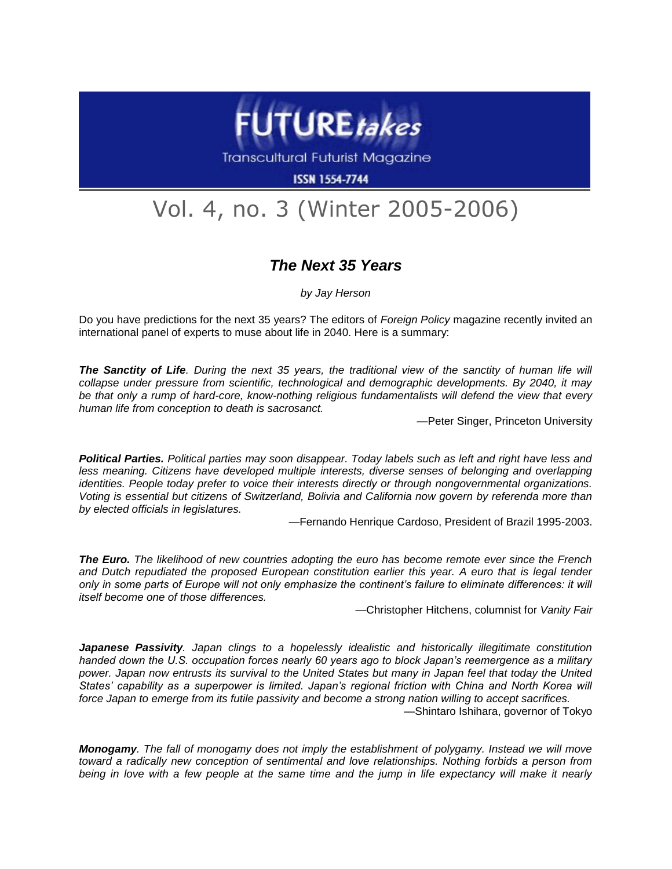

**Transcultural Futurist Magazine** 

**ISSN 1554-7744** 

## Vol. 4, no. 3 (Winter 2005-2006)

## *The Next 35 Years*

*by Jay Herson*

Do you have predictions for the next 35 years? The editors of *Foreign Policy* magazine recently invited an international panel of experts to muse about life in 2040. Here is a summary:

*The Sanctity of Life. During the next 35 years, the traditional view of the sanctity of human life will collapse under pressure from scientific, technological and demographic developments. By 2040, it may be that only a rump of hard-core, know-nothing religious fundamentalists will defend the view that every human life from conception to death is sacrosanct.* 

—Peter Singer, Princeton University

*Political Parties. Political parties may soon disappear. Today labels such as left and right have less and*  less meaning. Citizens have developed multiple interests, diverse senses of belonging and overlapping *identities. People today prefer to voice their interests directly or through nongovernmental organizations. Voting is essential but citizens of Switzerland, Bolivia and California now govern by referenda more than by elected officials in legislatures.*

—Fernando Henrique Cardoso, President of Brazil 1995-2003.

*The Euro. The likelihood of new countries adopting the euro has become remote ever since the French*  and Dutch repudiated the proposed European constitution earlier this year. A euro that is legal tender *only in some parts of Europe will not only emphasize the continent's failure to eliminate differences: it will itself become one of those differences.*

—Christopher Hitchens, columnist for *Vanity Fair*

*Japanese Passivity. Japan clings to a hopelessly idealistic and historically illegitimate constitution handed down the U.S. occupation forces nearly 60 years ago to block Japan's reemergence as a military power. Japan now entrusts its survival to the United States but many in Japan feel that today the United States' capability as a superpower is limited. Japan's regional friction with China and North Korea will force Japan to emerge from its futile passivity and become a strong nation willing to accept sacrifices.*  —Shintaro Ishihara, governor of Tokyo

*Monogamy. The fall of monogamy does not imply the establishment of polygamy. Instead we will move toward a radically new conception of sentimental and love relationships. Nothing forbids a person from being in love with a few people at the same time and the jump in life expectancy will make it nearly*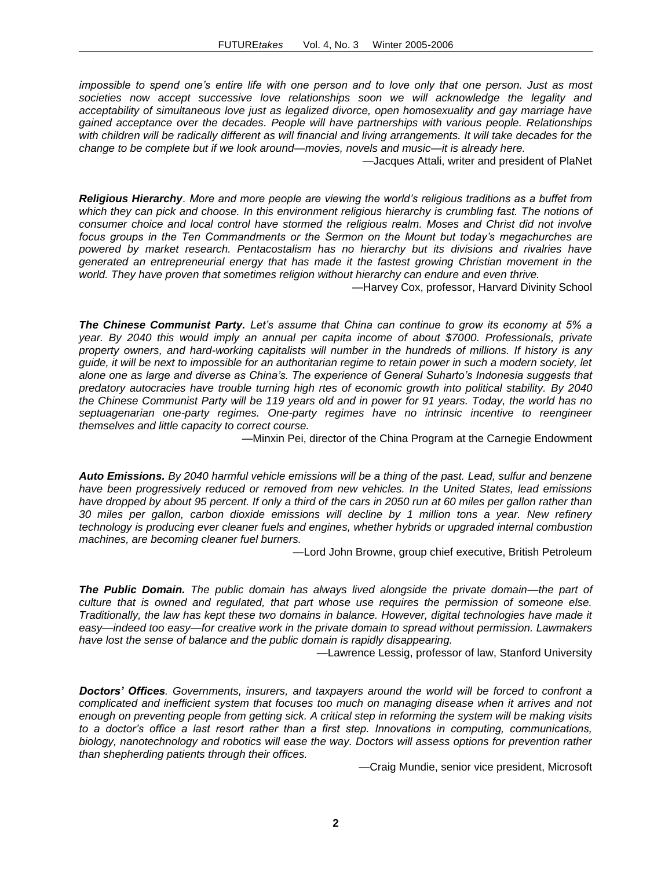*impossible to spend one's entire life with one person and to love only that one person. Just as most societies now accept successive love relationships soon we will acknowledge the legality and acceptability of simultaneous love just as legalized divorce, open homosexuality and gay marriage have gained acceptance over the decades. People will have partnerships with various people. Relationships with children will be radically different as will financial and living arrangements. It will take decades for the change to be complete but if we look around—movies, novels and music—it is already here.* 

—Jacques Attali, writer and president of PlaNet

*Religious Hierarchy. More and more people are viewing the world's religious traditions as a buffet from which they can pick and choose. In this environment religious hierarchy is crumbling fast. The notions of consumer choice and local control have stormed the religious realm. Moses and Christ did not involve focus groups in the Ten Commandments or the Sermon on the Mount but today's megachurches are powered by market research. Pentacostalism has no hierarchy but its divisions and rivalries have generated an entrepreneurial energy that has made it the fastest growing Christian movement in the world. They have proven that sometimes religion without hierarchy can endure and even thrive.* 

—Harvey Cox, professor, Harvard Divinity School

*The Chinese Communist Party. Let's assume that China can continue to grow its economy at 5% a year. By 2040 this would imply an annual per capita income of about \$7000. Professionals, private property owners, and hard-working capitalists will number in the hundreds of millions. If history is any guide, it will be next to impossible for an authoritarian regime to retain power in such a modern society, let alone one as large and diverse as China's. The experience of General Suharto's Indonesia suggests that predatory autocracies have trouble turning high rtes of economic growth into political stability. By 2040 the Chinese Communist Party will be 119 years old and in power for 91 years. Today, the world has no septuagenarian one-party regimes. One-party regimes have no intrinsic incentive to reengineer themselves and little capacity to correct course.* 

—Minxin Pei, director of the China Program at the Carnegie Endowment

*Auto Emissions. By 2040 harmful vehicle emissions will be a thing of the past. Lead, sulfur and benzene have been progressively reduced or removed from new vehicles. In the United States, lead emissions have dropped by about 95 percent. If only a third of the cars in 2050 run at 60 miles per gallon rather than 30 miles per gallon, carbon dioxide emissions will decline by 1 million tons a year. New refinery technology is producing ever cleaner fuels and engines, whether hybrids or upgraded internal combustion machines, are becoming cleaner fuel burners.* 

—Lord John Browne, group chief executive, British Petroleum

*The Public Domain. The public domain has always lived alongside the private domain—the part of culture that is owned and regulated, that part whose use requires the permission of someone else. Traditionally, the law has kept these two domains in balance. However, digital technologies have made it easy—indeed too easy—for creative work in the private domain to spread without permission. Lawmakers have lost the sense of balance and the public domain is rapidly disappearing.*

—Lawrence Lessig, professor of law, Stanford University

*Doctors' Offices. Governments, insurers, and taxpayers around the world will be forced to confront a complicated and inefficient system that focuses too much on managing disease when it arrives and not enough on preventing people from getting sick. A critical step in reforming the system will be making visits to a doctor's office a last resort rather than a first step. Innovations in computing, communications, biology, nanotechnology and robotics will ease the way. Doctors will assess options for prevention rather than shepherding patients through their offices.* 

—Craig Mundie, senior vice president, Microsoft